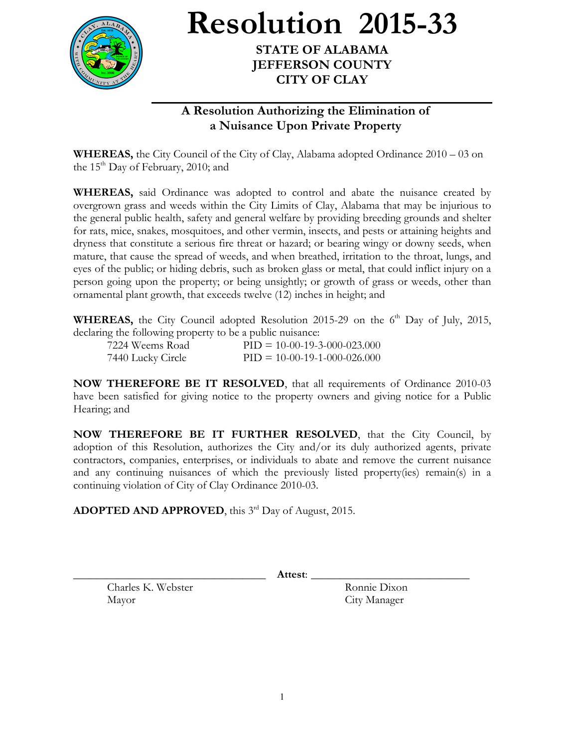

**Resolution 2015-33**

**STATE OF ALABAMA JEFFERSON COUNTY CITY OF CLAY**

## **A Resolution Authorizing the Elimination of a Nuisance Upon Private Property**

**WHEREAS,** the City Council of the City of Clay, Alabama adopted Ordinance 2010 – 03 on the  $15<sup>th</sup>$  Day of February, 2010; and

**WHEREAS,** said Ordinance was adopted to control and abate the nuisance created by overgrown grass and weeds within the City Limits of Clay, Alabama that may be injurious to the general public health, safety and general welfare by providing breeding grounds and shelter for rats, mice, snakes, mosquitoes, and other vermin, insects, and pests or attaining heights and dryness that constitute a serious fire threat or hazard; or bearing wingy or downy seeds, when mature, that cause the spread of weeds, and when breathed, irritation to the throat, lungs, and eyes of the public; or hiding debris, such as broken glass or metal, that could inflict injury on a person going upon the property; or being unsightly; or growth of grass or weeds, other than ornamental plant growth, that exceeds twelve (12) inches in height; and

WHEREAS, the City Council adopted Resolution 2015-29 on the 6<sup>th</sup> Day of July, 2015, declaring the following property to be a public nuisance:

| 7224 Weems Road   | $PID = 10-00-19-3-000-023.000$ |
|-------------------|--------------------------------|
| 7440 Lucky Circle | $PID = 10-00-19-1-000-026.000$ |

**NOW THEREFORE BE IT RESOLVED**, that all requirements of Ordinance 2010-03 have been satisfied for giving notice to the property owners and giving notice for a Public Hearing; and

**NOW THEREFORE BE IT FURTHER RESOLVED**, that the City Council, by adoption of this Resolution, authorizes the City and/or its duly authorized agents, private contractors, companies, enterprises, or individuals to abate and remove the current nuisance and any continuing nuisances of which the previously listed property(ies) remain(s) in a continuing violation of City of Clay Ordinance 2010-03.

ADOPTED AND APPROVED, this 3<sup>rd</sup> Day of August, 2015.

Charles K. Webster Ronnie Dixon

\_\_\_\_\_\_\_\_\_\_\_\_\_\_\_\_\_\_\_\_\_\_\_\_\_\_\_\_\_\_\_\_\_\_ **Attest**: \_\_\_\_\_\_\_\_\_\_\_\_\_\_\_\_\_\_\_\_\_\_\_\_\_\_\_\_

Mayor City Manager